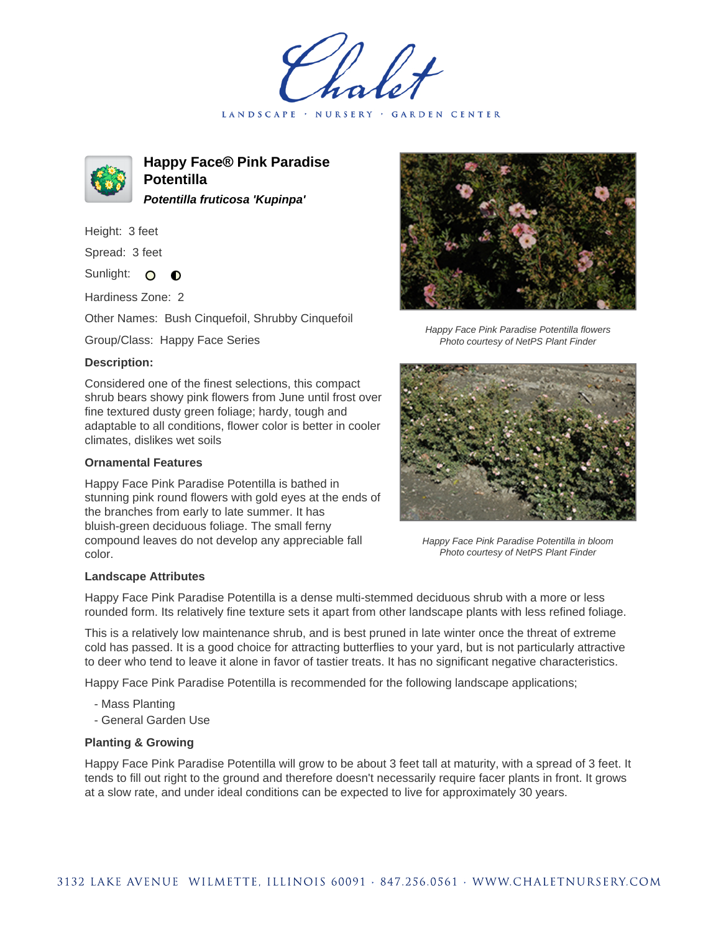LANDSCAPE · NURSERY · GARDEN CENTER



**Happy Face® Pink Paradise Potentilla Potentilla fruticosa 'Kupinpa'**

Height: 3 feet

Spread: 3 feet

Sunlight: O  $\bullet$ 

Hardiness Zone: 2

Other Names: Bush Cinquefoil, Shrubby Cinquefoil

Group/Class: Happy Face Series

## **Description:**

Considered one of the finest selections, this compact shrub bears showy pink flowers from June until frost over fine textured dusty green foliage; hardy, tough and adaptable to all conditions, flower color is better in cooler climates, dislikes wet soils

## **Ornamental Features**

Happy Face Pink Paradise Potentilla is bathed in stunning pink round flowers with gold eyes at the ends of the branches from early to late summer. It has bluish-green deciduous foliage. The small ferny compound leaves do not develop any appreciable fall color.



Happy Face Pink Paradise Potentilla flowers Photo courtesy of NetPS Plant Finder



Happy Face Pink Paradise Potentilla in bloom Photo courtesy of NetPS Plant Finder

## **Landscape Attributes**

Happy Face Pink Paradise Potentilla is a dense multi-stemmed deciduous shrub with a more or less rounded form. Its relatively fine texture sets it apart from other landscape plants with less refined foliage.

This is a relatively low maintenance shrub, and is best pruned in late winter once the threat of extreme cold has passed. It is a good choice for attracting butterflies to your yard, but is not particularly attractive to deer who tend to leave it alone in favor of tastier treats. It has no significant negative characteristics.

Happy Face Pink Paradise Potentilla is recommended for the following landscape applications;

- Mass Planting
- General Garden Use

## **Planting & Growing**

Happy Face Pink Paradise Potentilla will grow to be about 3 feet tall at maturity, with a spread of 3 feet. It tends to fill out right to the ground and therefore doesn't necessarily require facer plants in front. It grows at a slow rate, and under ideal conditions can be expected to live for approximately 30 years.